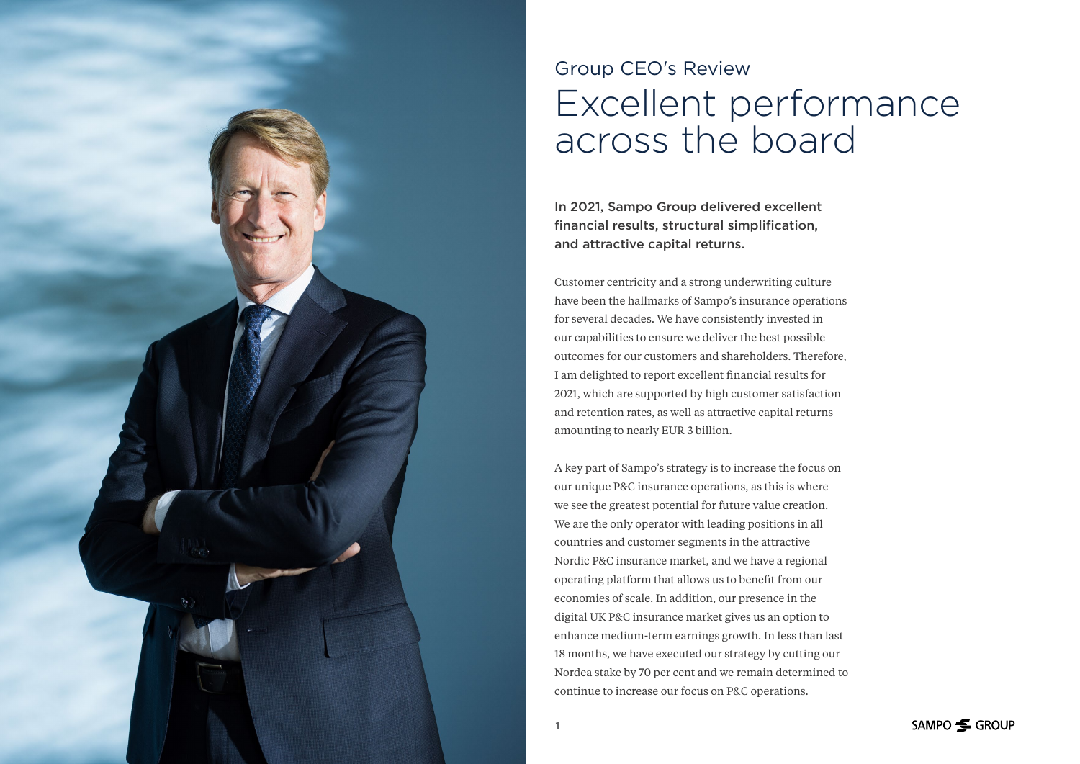

# Group CEO's Review Excellent performance across the board

In 2021, Sampo Group delivered excellent financial results, structural simplification, and attractive capital returns.

Customer centricity and a strong underwriting culture have been the hallmarks of Sampo's insurance operations for several decades. We have consistently invested in our capabilities to ensure we deliver the best possible outcomes for our customers and shareholders. Therefore, I am delighted to report excellent financial results for 2021, which are supported by high customer satisfaction and retention rates, as well as attractive capital returns amounting to nearly EUR 3 billion.

A key part of Sampo's strategy is to increase the focus on our unique P&C insurance operations, as this is where we see the greatest potential for future value creation. We are the only operator with leading positions in all countries and customer segments in the attractive Nordic P&C insurance market, and we have a regional operating platform that allows us to benefit from our economies of scale. In addition, our presence in the digital UK P&C insurance market gives us an option to enhance medium-term earnings growth. In less than last 18 months, we have executed our strategy by cutting our Nordea stake by 70 per cent and we remain determined to continue to increase our focus on P&C operations.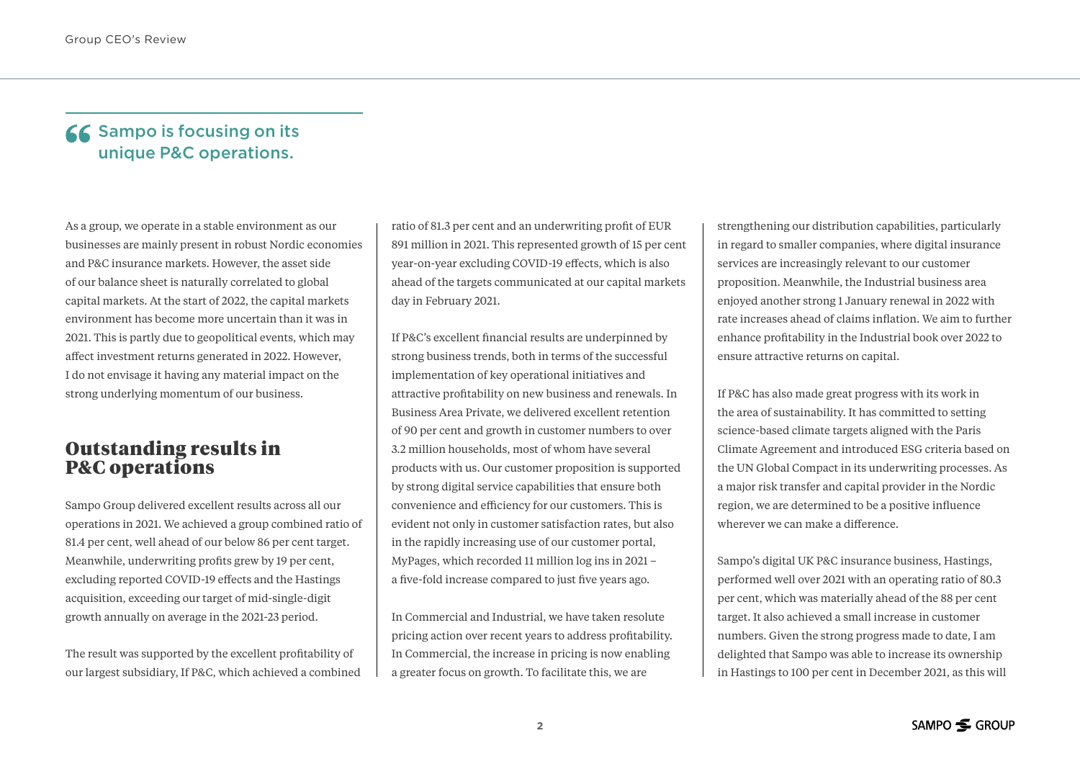#### **66** Sampo is focusing on its unique P&C operations.

As a group, we operate in a stable environment as our businesses are mainly present in robust Nordic economies and P&C insurance markets. However, the asset side of our balance sheet is naturally correlated to global capital markets. At the start of 2022, the capital markets environment has become more uncertain than it was in 2021. This is partly due to geopolitical events, which may affect investment returns generated in 2022. However, I do not envisage it having any material impact on the strong underlying momentum of our business.

### Outstanding results in P&C operations

Sampo Group delivered excellent results across all our operations in 2021. We achieved a group combined ratio of 81.4 per cent, well ahead of our below 86 per cent target. Meanwhile, underwriting profits grew by 19 per cent, excluding reported COVID-19 effects and the Hastings acquisition, exceeding our target of mid-single-digit growth annually on average in the 2021-23 period.

The result was supported by the excellent profitability of our largest subsidiary, If P&C, which achieved a combined

ratio of 81.3 per cent and an underwriting profit of EUR 891 million in 2021. This represented growth of 15 per cent year-on-year excluding COVID-19 effects, which is also ahead of the targets communicated at our capital markets day in February 2021.

If P&C's excellent financial results are underpinned by strong business trends, both in terms of the successful implementation of key operational initiatives and attractive profitability on new business and renewals. In Business Area Private, we delivered excellent retention of 90 per cent and growth in customer numbers to over 3.2 million households, most of whom have several products with us. Our customer proposition is supported by strong digital service capabilities that ensure both convenience and efficiency for our customers. This is evident not only in customer satisfaction rates, but also in the rapidly increasing use of our customer portal, MyPages, which recorded 11 million log ins in 2021 – a five-fold increase compared to just five years ago.

In Commercial and Industrial, we have taken resolute pricing action over recent years to address profitability. In Commercial, the increase in pricing is now enabling a greater focus on growth. To facilitate this, we are

strengthening our distribution capabilities, particularly in regard to smaller companies, where digital insurance services are increasingly relevant to our customer proposition. Meanwhile, the Industrial business area enjoyed another strong 1 January renewal in 2022 with rate increases ahead of claims inflation. We aim to further enhance profitability in the Industrial book over 2022 to ensure attractive returns on capital.

If P&C has also made great progress with its work in the area of sustainability. It has committed to setting science-based climate targets aligned with the Paris Climate Agreement and introduced ESG criteria based on the UN Global Compact in its underwriting processes. As a major risk transfer and capital provider in the Nordic region, we are determined to be a positive influence wherever we can make a difference.

Sampo's digital UK P&C insurance business, Hastings, performed well over 2021 with an operating ratio of 80.3 per cent, which was materially ahead of the 88 per cent target. It also achieved a small increase in customer numbers. Given the strong progress made to date, I am delighted that Sampo was able to increase its ownership in Hastings to 100 per cent in December 2021, as this will